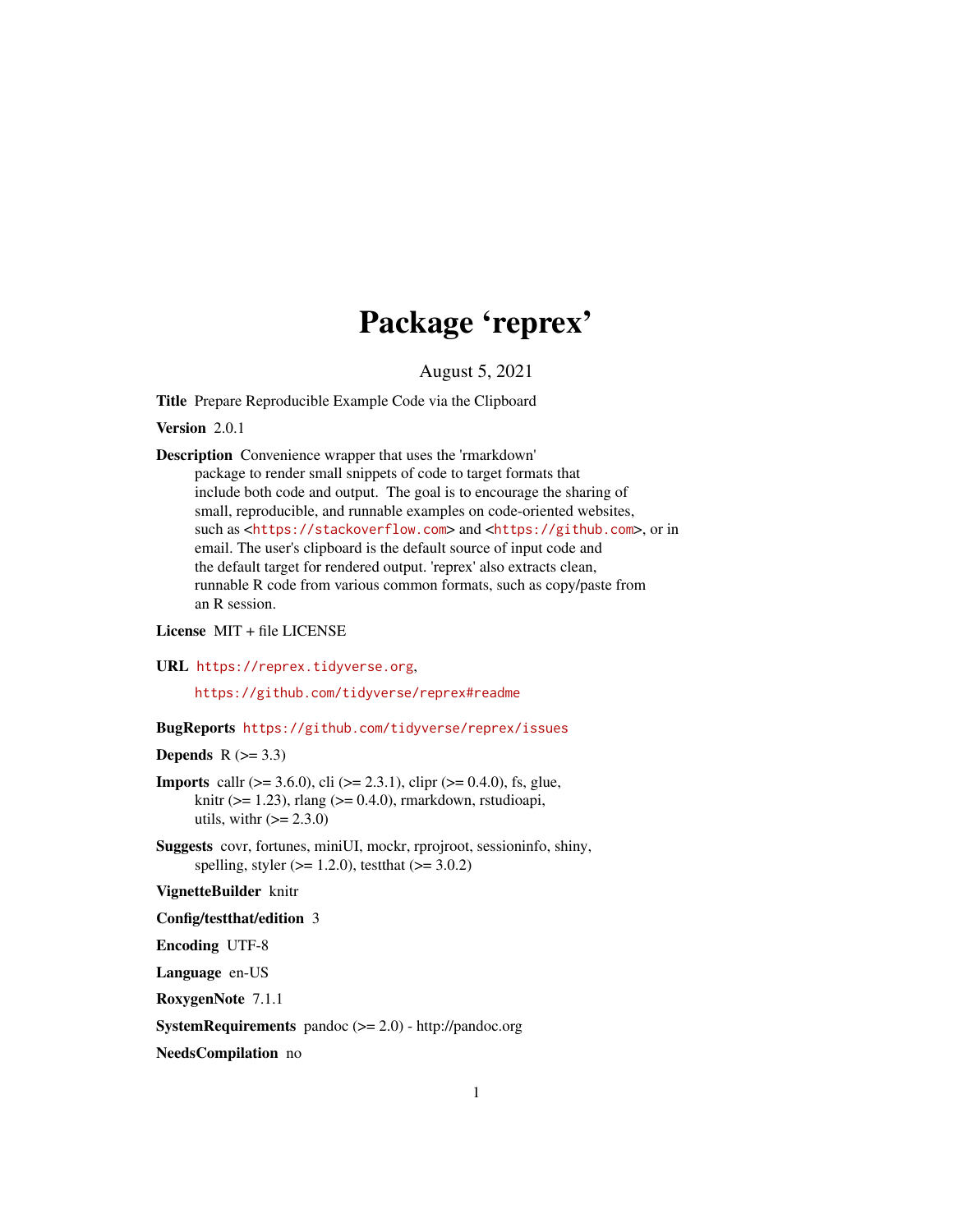## Package 'reprex'

August 5, 2021

<span id="page-0-0"></span>Title Prepare Reproducible Example Code via the Clipboard

Version 2.0.1

Description Convenience wrapper that uses the 'rmarkdown' package to render small snippets of code to target formats that include both code and output. The goal is to encourage the sharing of small, reproducible, and runnable examples on code-oriented websites, such as <<https://stackoverflow.com>> and <<https://github.com>>, or in email. The user's clipboard is the default source of input code and the default target for rendered output. 'reprex' also extracts clean, runnable R code from various common formats, such as copy/paste from an R session.

License MIT + file LICENSE

URL <https://reprex.tidyverse.org>,

<https://github.com/tidyverse/reprex#readme>

BugReports <https://github.com/tidyverse/reprex/issues>

#### **Depends**  $R$  ( $>= 3.3$ )

- **Imports** callr ( $>= 3.6.0$ ), cli ( $>= 2.3.1$ ), clipr ( $>= 0.4.0$ ), fs, glue, knitr ( $> = 1.23$ ), rlang ( $> = 0.4.0$ ), rmarkdown, rstudioapi, utils, with  $(>= 2.3.0)$
- Suggests covr, fortunes, miniUI, mockr, rprojroot, sessioninfo, shiny, spelling, styler ( $> = 1.2.0$ ), testthat ( $> = 3.0.2$ )

#### VignetteBuilder knitr

Config/testthat/edition 3

Encoding UTF-8

Language en-US

RoxygenNote 7.1.1

SystemRequirements pandoc (>= 2.0) - http://pandoc.org

NeedsCompilation no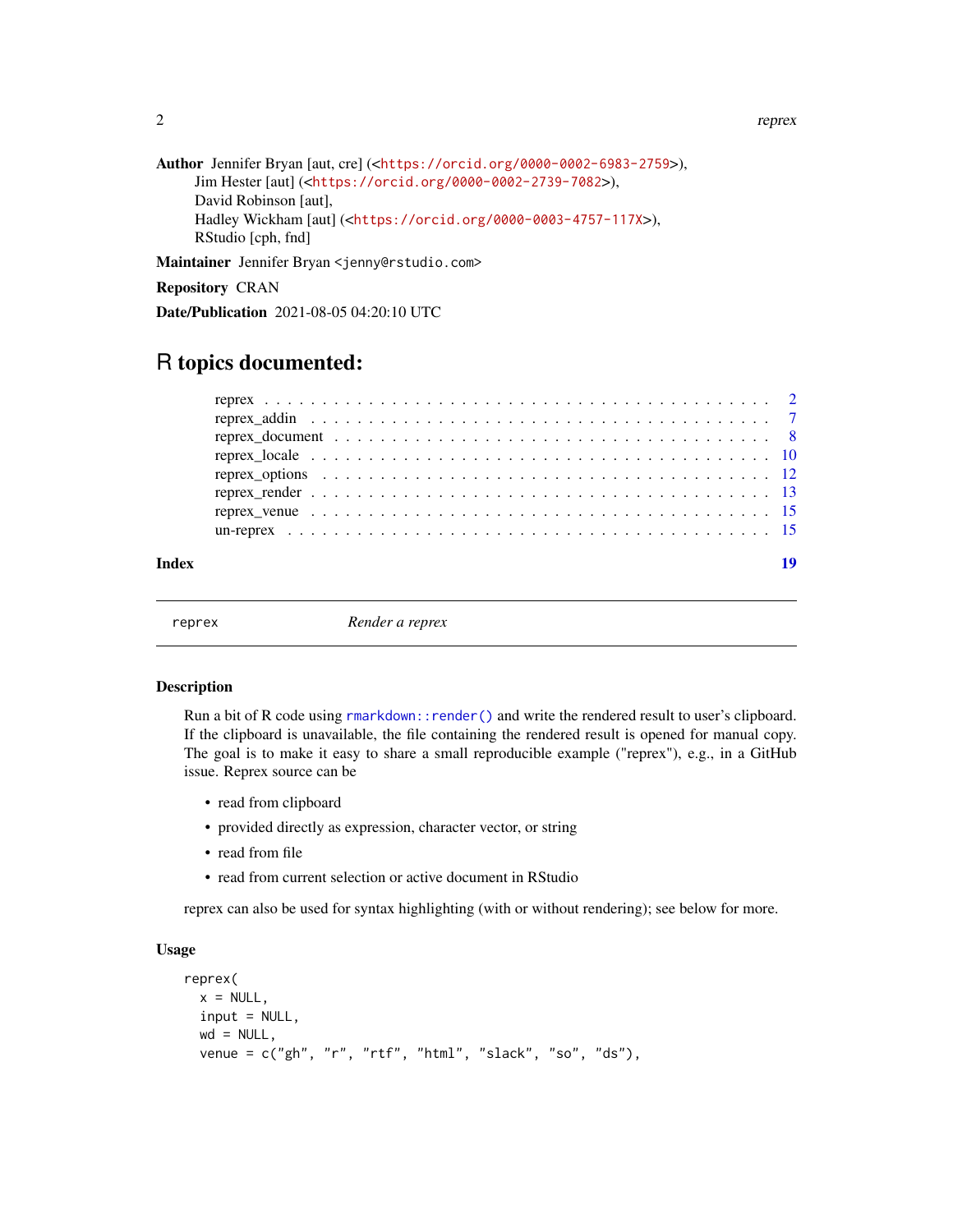#### 2 a contract to the contract of the contract of the contract of the contract of the contract of the contract of the contract of the contract of the contract of the contract of the contract of the contract of the contract o

```
Author Jennifer Bryan [aut, cre] (<https://orcid.org/0000-0002-6983-2759>),
     Jim Hester [aut] (<https://orcid.org/0000-0002-2739-7082>),
     David Robinson [aut],
     Hadley Wickham [aut] (<https://orcid.org/0000-0003-4757-117X>),
     RStudio [cph, fnd]
```
Maintainer Jennifer Bryan <jenny@rstudio.com>

Repository CRAN

Date/Publication 2021-08-05 04:20:10 UTC

### R topics documented:

|       | reprex venue $\ldots \ldots \ldots \ldots \ldots \ldots \ldots \ldots \ldots \ldots \ldots \ldots \ldots$ |  |
|-------|-----------------------------------------------------------------------------------------------------------|--|
|       |                                                                                                           |  |
| Index | 10                                                                                                        |  |

<span id="page-1-1"></span>

reprex *Render a reprex*

#### Description

Run a bit of R code using rmarkdown: : render() and write the rendered result to user's clipboard. If the clipboard is unavailable, the file containing the rendered result is opened for manual copy. The goal is to make it easy to share a small reproducible example ("reprex"), e.g., in a GitHub issue. Reprex source can be

- read from clipboard
- provided directly as expression, character vector, or string
- read from file
- read from current selection or active document in RStudio

reprex can also be used for syntax highlighting (with or without rendering); see below for more.

#### Usage

```
reprex(
 x = NULL,
  input = NULL,
 wd = NULL,venue = c("gh", "r", "rtf", "html", "slack", "so", "ds"),
```
<span id="page-1-0"></span>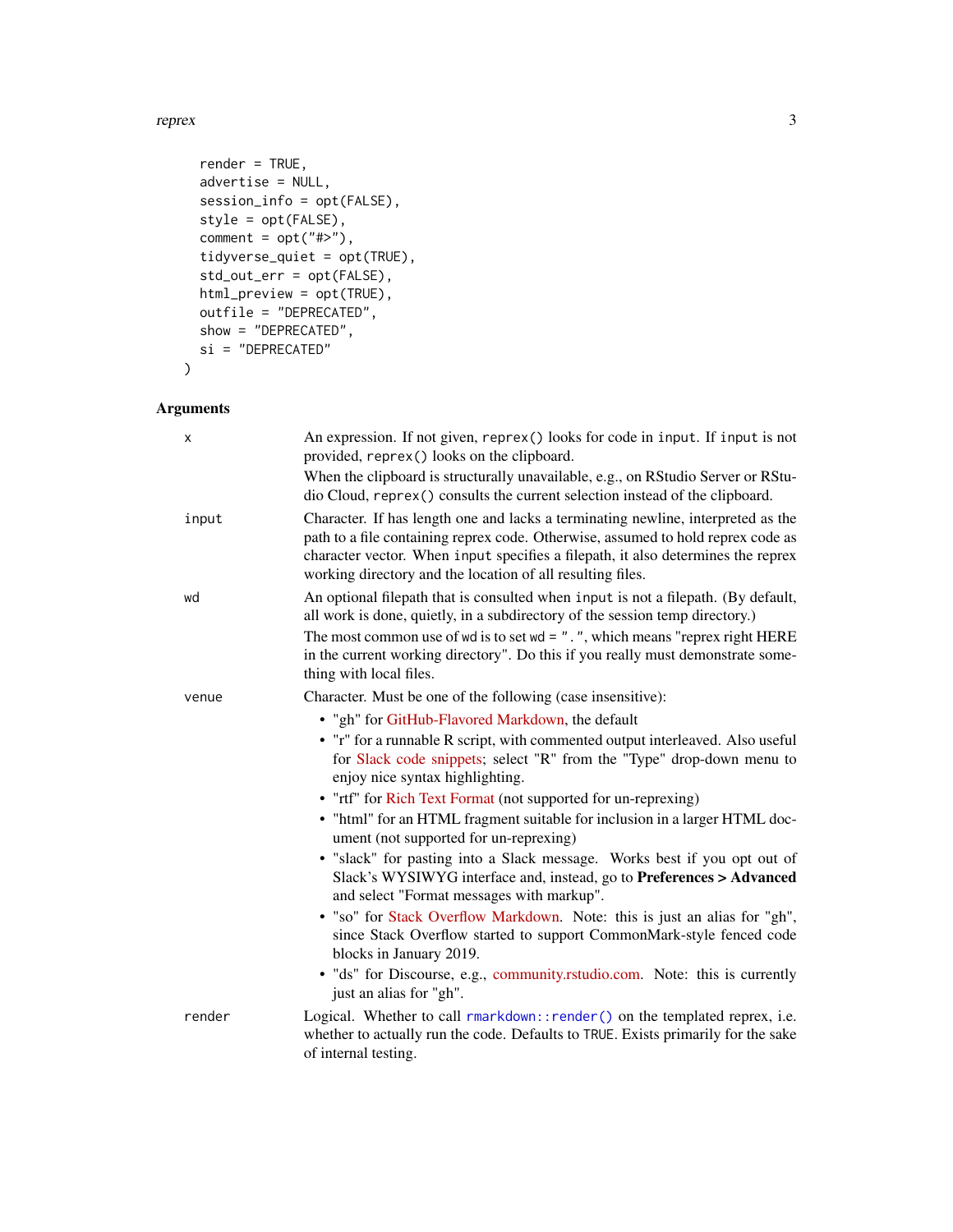#### <span id="page-2-0"></span>reprex 3

```
render = TRUE,
 advertise = NULL,
 session_info = opt(FALSE),
 style = opt(FALSE),
 comment = opt("#>}"),
  tidyverse_quiet = opt(TRUE),
  std_out_err = opt(FALSE),
 html_preview = opt(TRUE),
 outfile = "DEPRECATED",
 show = "DEPRECATED",
 si = "DEPRECATED"
\mathcal{L}
```
#### Arguments

| х      | An expression. If not given, reprex() looks for code in input. If input is not<br>provided, reprex() looks on the clipboard.                                                                                                                                                                                           |
|--------|------------------------------------------------------------------------------------------------------------------------------------------------------------------------------------------------------------------------------------------------------------------------------------------------------------------------|
|        | When the clipboard is structurally unavailable, e.g., on RStudio Server or RStu-<br>dio Cloud, reprex() consults the current selection instead of the clipboard.                                                                                                                                                       |
| input  | Character. If has length one and lacks a terminating newline, interpreted as the<br>path to a file containing reprex code. Otherwise, assumed to hold reprex code as<br>character vector. When input specifies a filepath, it also determines the reprex<br>working directory and the location of all resulting files. |
| wd     | An optional filepath that is consulted when input is not a filepath. (By default,<br>all work is done, quietly, in a subdirectory of the session temp directory.)                                                                                                                                                      |
|        | The most common use of wd is to set wd = $"$ . ", which means "reprex right HERE<br>in the current working directory". Do this if you really must demonstrate some-<br>thing with local files.                                                                                                                         |
| venue  | Character. Must be one of the following (case insensitive):                                                                                                                                                                                                                                                            |
|        | • "gh" for GitHub-Flavored Markdown, the default                                                                                                                                                                                                                                                                       |
|        | • "r" for a runnable R script, with commented output interleaved. Also useful<br>for Slack code snippets; select "R" from the "Type" drop-down menu to<br>enjoy nice syntax highlighting.                                                                                                                              |
|        | • "rtf" for Rich Text Format (not supported for un-reprexing)                                                                                                                                                                                                                                                          |
|        | • "html" for an HTML fragment suitable for inclusion in a larger HTML doc-<br>ument (not supported for un-reprexing)                                                                                                                                                                                                   |
|        | · "slack" for pasting into a Slack message. Works best if you opt out of<br>Slack's WYSIWYG interface and, instead, go to Preferences > Advanced<br>and select "Format messages with markup".                                                                                                                          |
|        | • "so" for Stack Overflow Markdown. Note: this is just an alias for "gh",<br>since Stack Overflow started to support CommonMark-style fenced code<br>blocks in January 2019.                                                                                                                                           |
|        | · "ds" for Discourse, e.g., community.rstudio.com. Note: this is currently<br>just an alias for "gh".                                                                                                                                                                                                                  |
| render | Logical. Whether to call rmarkdown::render() on the templated reprex, i.e.<br>whether to actually run the code. Defaults to TRUE. Exists primarily for the sake<br>of internal testing.                                                                                                                                |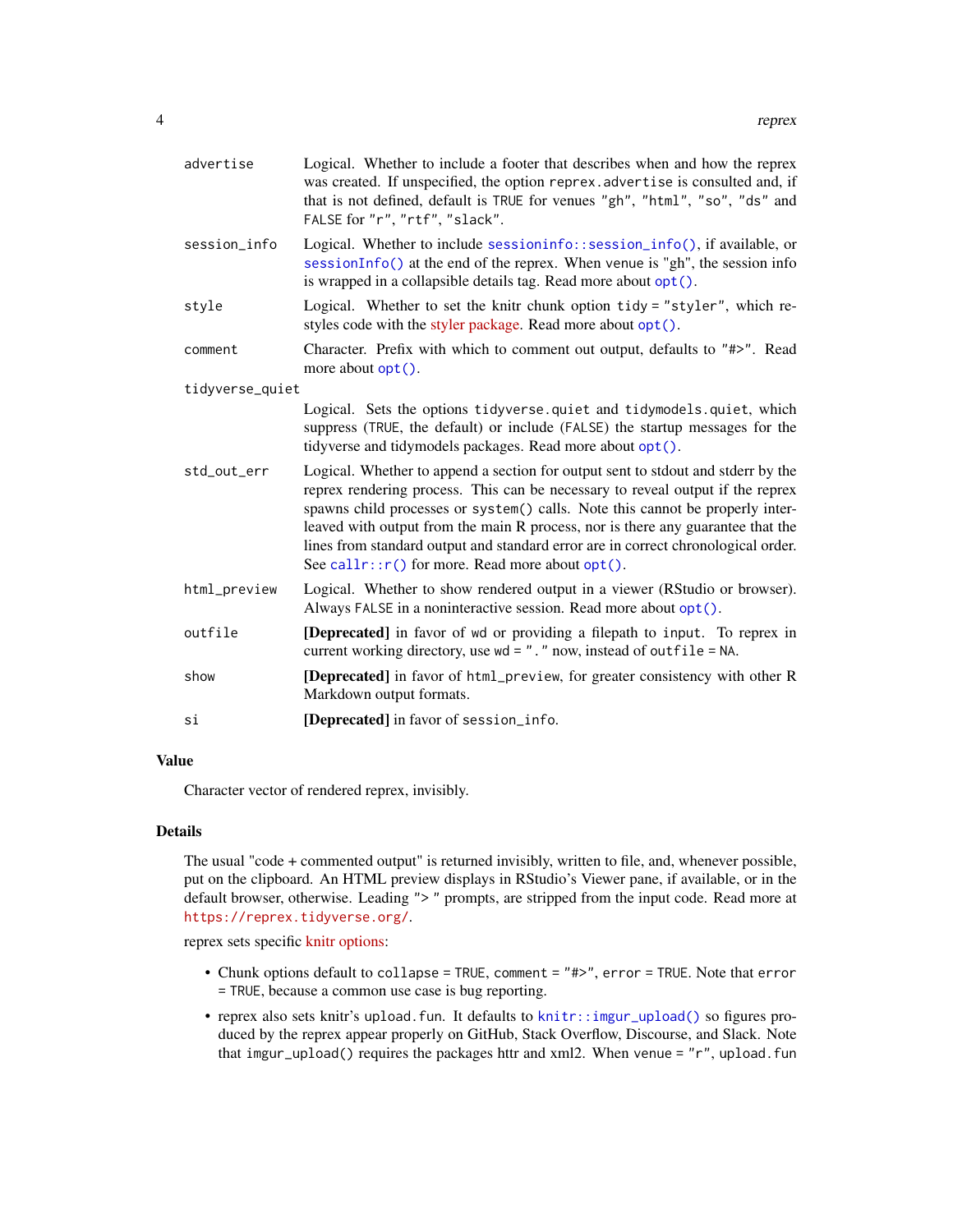<span id="page-3-0"></span>

| advertise       | Logical. Whether to include a footer that describes when and how the reprex<br>was created. If unspecified, the option reprex. advertise is consulted and, if<br>that is not defined, default is TRUE for venues "gh", "html", "so", "ds" and<br>FALSE for "r", "rtf", "slack".                                                                                                                                                                                                          |
|-----------------|------------------------------------------------------------------------------------------------------------------------------------------------------------------------------------------------------------------------------------------------------------------------------------------------------------------------------------------------------------------------------------------------------------------------------------------------------------------------------------------|
| session_info    | Logical. Whether to include sessioninfo::session_info(), if available, or<br>sessionInfo() at the end of the reprex. When venue is "gh", the session info<br>is wrapped in a collapsible details tag. Read more about opt().                                                                                                                                                                                                                                                             |
| style           | Logical. Whether to set the knitr chunk option tidy = "styler", which re-<br>styles code with the styler package. Read more about opt().                                                                                                                                                                                                                                                                                                                                                 |
| comment         | Character. Prefix with which to comment out output, defaults to "#>". Read<br>more about $opt()$ .                                                                                                                                                                                                                                                                                                                                                                                       |
| tidyverse_quiet |                                                                                                                                                                                                                                                                                                                                                                                                                                                                                          |
|                 | Logical. Sets the options tidyverse.quiet and tidymodels.quiet, which<br>suppress (TRUE, the default) or include (FALSE) the startup messages for the<br>tidyverse and tidymodels packages. Read more about opt().                                                                                                                                                                                                                                                                       |
| std_out_err     | Logical. Whether to append a section for output sent to stdout and stderr by the<br>reprex rendering process. This can be necessary to reveal output if the reprex<br>spawns child processes or system() calls. Note this cannot be properly inter-<br>leaved with output from the main R process, nor is there any guarantee that the<br>lines from standard output and standard error are in correct chronological order.<br>See call $r$ : $r()$ for more. Read more about opt $()$ . |
| html_preview    | Logical. Whether to show rendered output in a viewer (RStudio or browser).<br>Always FALSE in a noninteractive session. Read more about opt().                                                                                                                                                                                                                                                                                                                                           |
| outfile         | [Deprecated] in favor of wd or providing a filepath to input. To reprex in<br>current working directory, use wd = ". " now, instead of outfile = NA.                                                                                                                                                                                                                                                                                                                                     |
| show            | [Deprecated] in favor of html_preview, for greater consistency with other R<br>Markdown output formats.                                                                                                                                                                                                                                                                                                                                                                                  |
| si              | [Deprecated] in favor of session_info.                                                                                                                                                                                                                                                                                                                                                                                                                                                   |

#### Value

Character vector of rendered reprex, invisibly.

#### Details

The usual "code + commented output" is returned invisibly, written to file, and, whenever possible, put on the clipboard. An HTML preview displays in RStudio's Viewer pane, if available, or in the default browser, otherwise. Leading "> " prompts, are stripped from the input code. Read more at <https://reprex.tidyverse.org/>.

reprex sets specific [knitr options:](https://yihui.org/knitr/options/)

- Chunk options default to collapse = TRUE, comment = "#>", error = TRUE. Note that error = TRUE, because a common use case is bug reporting.
- reprex also sets knitr's upload.fun. It defaults to [knitr::imgur\\_upload\(\)](#page-0-0) so figures produced by the reprex appear properly on GitHub, Stack Overflow, Discourse, and Slack. Note that imgur\_upload() requires the packages httr and xml2. When venue = "r", upload.fun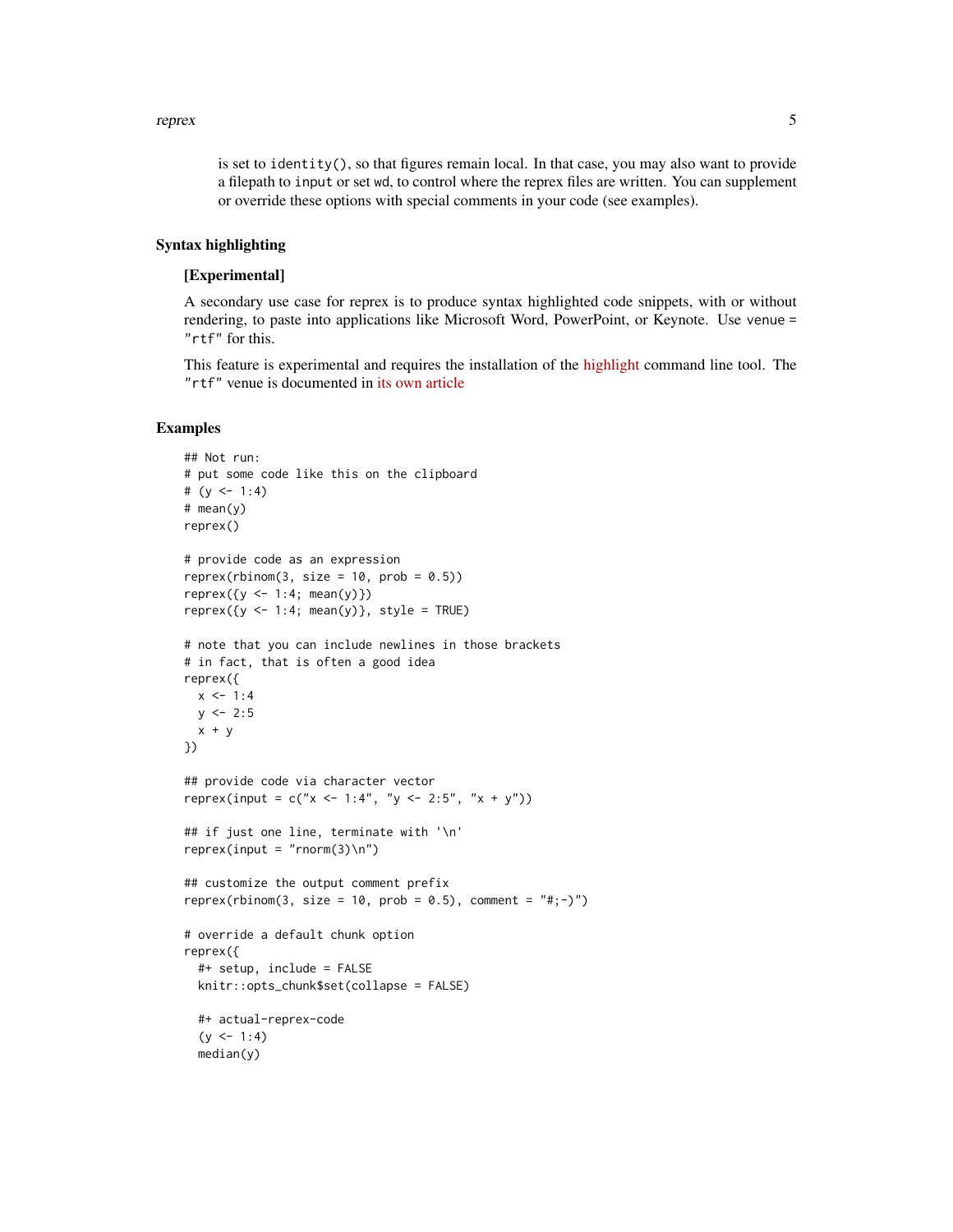#### reprex 5

is set to identity(), so that figures remain local. In that case, you may also want to provide a filepath to input or set wd, to control where the reprex files are written. You can supplement or override these options with special comments in your code (see examples).

#### Syntax highlighting

#### [Experimental]

A secondary use case for reprex is to produce syntax highlighted code snippets, with or without rendering, to paste into applications like Microsoft Word, PowerPoint, or Keynote. Use venue = "rtf" for this.

This feature is experimental and requires the installation of the [highlight](http://www.andre-simon.de/doku/highlight/en/highlight.php) command line tool. The "rtf" venue is documented in [its own article](https://reprex.tidyverse.org/articles/articles/rtf.html)

#### Examples

```
## Not run:
# put some code like this on the clipboard
# (y <- 1:4)
# mean(y)
reprex()
# provide code as an expression
reprev(rbinom(3, size = 10, prob = 0.5))reprev({y \leftarrow 1:4; mean(y)})reprev({y \leq 1:4; mean(y)}, style = TRUE)# note that you can include newlines in those brackets
# in fact, that is often a good idea
reprex({
 x < -1:4y \le -2:5x + y})
## provide code via character vector
reprex(input = c("x \le -1:4", "y \le -2:5", "x + y"))
## if just one line, terminate with '\n'
reprev(input = "rnorm(3)\n\cdot\n## customize the output comment prefix
reprex(rbinom(3, size = 10, prob = 0.5), comment = "#;-)")
# override a default chunk option
reprex({
 #+ setup, include = FALSE
 knitr::opts_chunk$set(collapse = FALSE)
 #+ actual-reprex-code
 (y \le -1:4)median(y)
```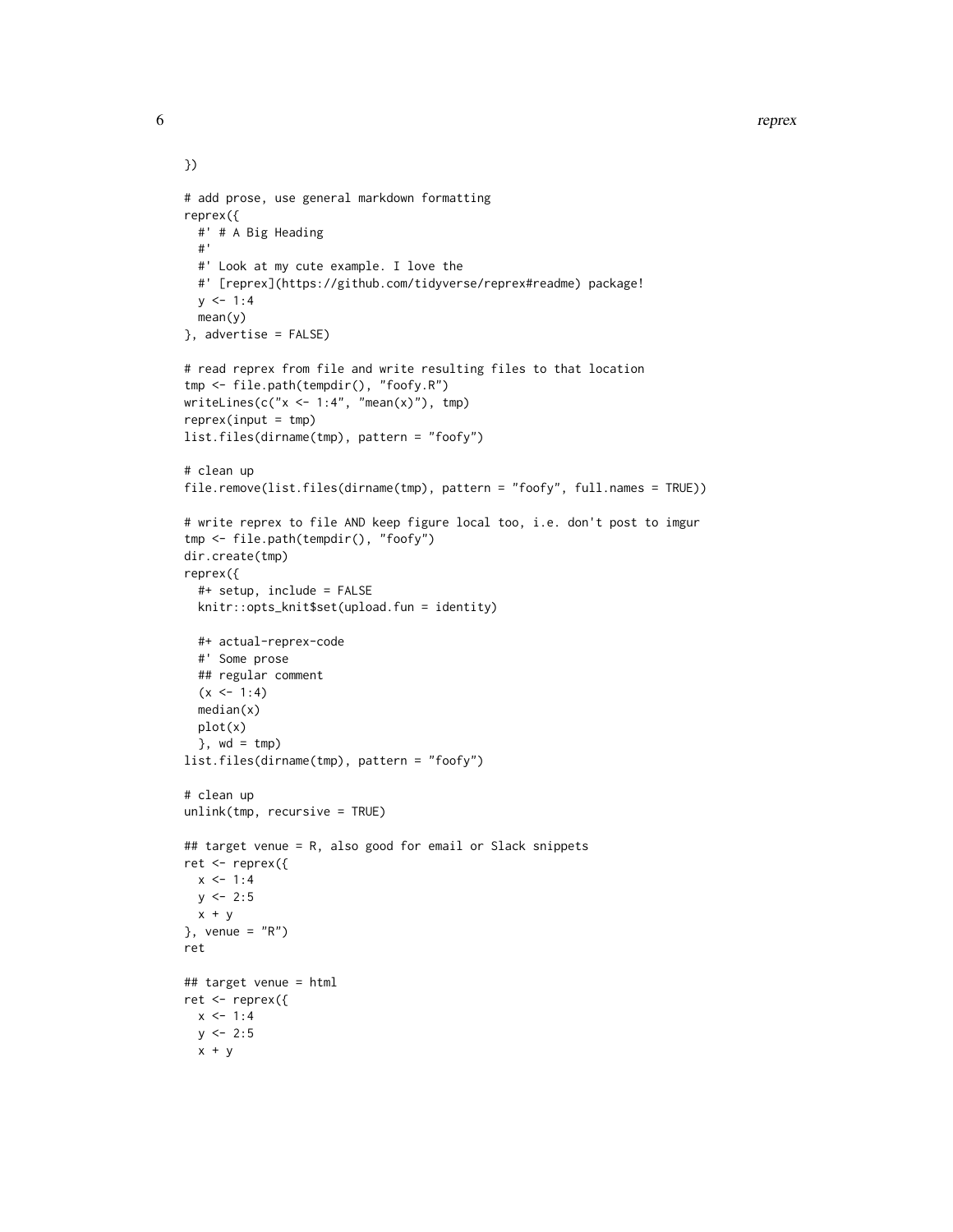6 represents the contract of the contract of the contract of the contract of the contract of the contract of the contract of the contract of the contract of the contract of the contract of the contract of the contract of t

```
# add prose, use general markdown formatting
reprex({
  #' # A Big Heading
  #'
  #' Look at my cute example. I love the
  #' [reprex](https://github.com/tidyverse/reprex#readme) package!
  y \le -1:4mean(y)
}, advertise = FALSE)
# read reprex from file and write resulting files to that location
tmp <- file.path(tempdir(), "foofy.R")
writeLines(c("x < -1:4", "mean(x)");reprev(input = tmp)list.files(dirname(tmp), pattern = "foofy")
# clean up
file.remove(list.files(dirname(tmp), pattern = "foofy", full.names = TRUE))
# write reprex to file AND keep figure local too, i.e. don't post to imgur
tmp <- file.path(tempdir(), "foofy")
dir.create(tmp)
reprex({
  #+ setup, include = FALSE
  knitr::opts_knit$set(upload.fun = identity)
  #+ actual-reprex-code
  #' Some prose
  ## regular comment
  (x < -1:4)median(x)
  plot(x)
  }, wd = tmp)
list.files(dirname(tmp), pattern = "foofy")
# clean up
unlink(tmp, recursive = TRUE)
## target venue = R, also good for email or Slack snippets
ret <- reprex({
 x < -1:4y \le -2:5x + y}, venue = "R")
ret
## target venue = html
ret <- reprex({
 x \le -1:4y \le -2:5x + y
```
})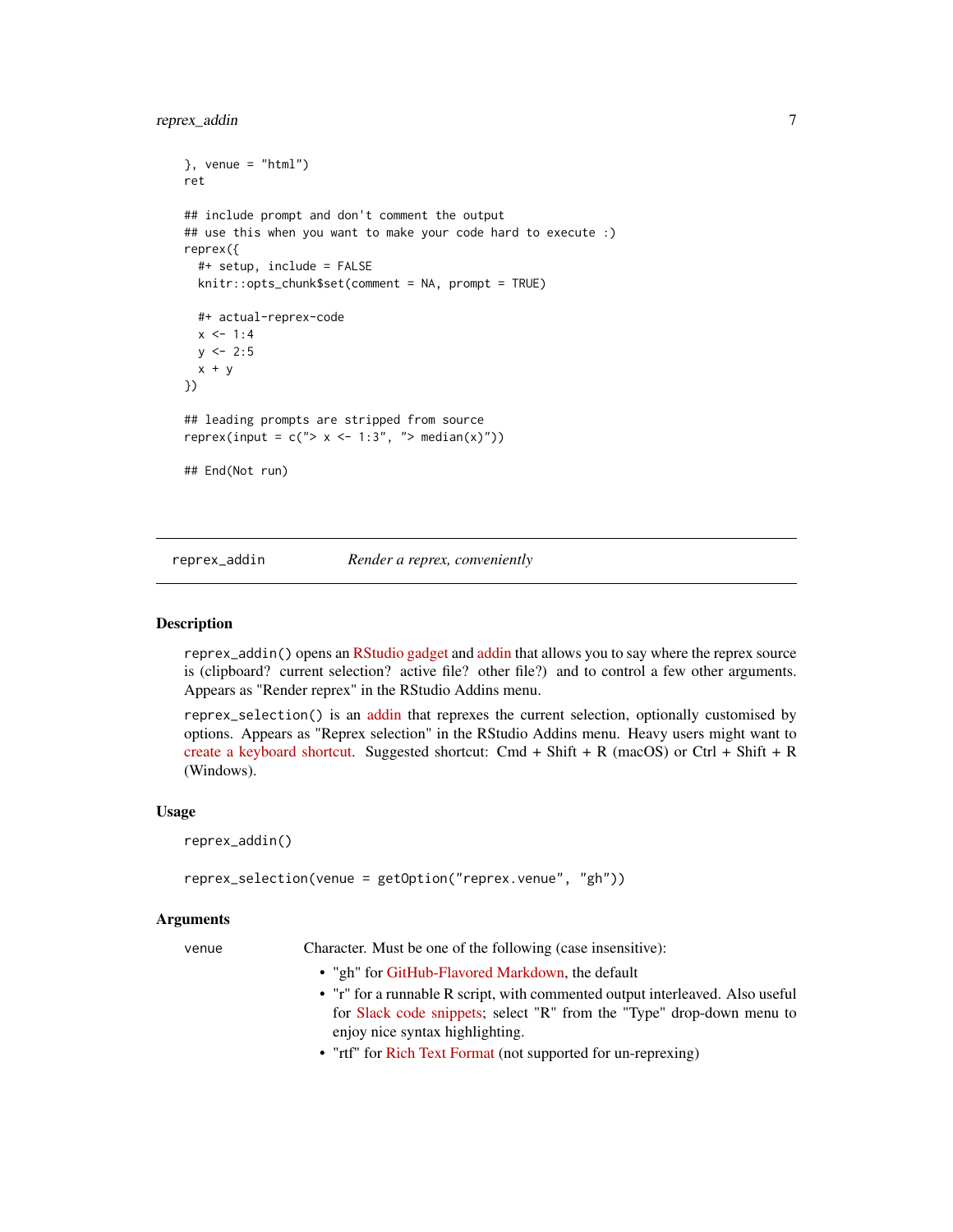#### <span id="page-6-0"></span>reprex\_addin 7

```
}, venue = "html")
ret
## include prompt and don't comment the output
## use this when you want to make your code hard to execute :)
reprex({
 #+ setup, include = FALSE
 knitr::opts_chunk$set(comment = NA, prompt = TRUE)
 #+ actual-reprex-code
 x < -1:4y \le -2:5x + y})
## leading prompts are stripped from source
reprex(input = c("> x < -1:3", "> median(x)"))
## End(Not run)
```
#### reprex\_addin *Render a reprex, conveniently*

#### <span id="page-6-1"></span>Description

reprex\_addin() opens an [RStudio gadget](https://shiny.rstudio.com/articles/gadgets.html) and [addin](http://rstudio.github.io/rstudioaddins/) that allows you to say where the reprex source is (clipboard? current selection? active file? other file?) and to control a few other arguments. Appears as "Render reprex" in the RStudio Addins menu.

reprex\_selection() is an [addin](http://rstudio.github.io/rstudioaddins/) that reprexes the current selection, optionally customised by options. Appears as "Reprex selection" in the RStudio Addins menu. Heavy users might want to [create a keyboard shortcut.](https://support.rstudio.com/hc/en-us/articles/206382178-Customizing-Keyboard-Shortcuts) Suggested shortcut: Cmd + Shift + R (macOS) or Ctrl + Shift + R (Windows).

#### Usage

reprex\_addin()

reprex\_selection(venue = getOption("reprex.venue", "gh"))

#### Arguments

venue Character. Must be one of the following (case insensitive):

- "gh" for [GitHub-Flavored Markdown,](https://github.github.com/gfm/) the default
- "r" for a runnable R script, with commented output interleaved. Also useful for [Slack code snippets;](https://slack.com/intl/en-ca/slack-tips/share-code-snippets) select "R" from the "Type" drop-down menu to enjoy nice syntax highlighting.
- "rtf" for [Rich Text Format](https://en.wikipedia.org/wiki/Rich_Text_Format) (not supported for un-reprexing)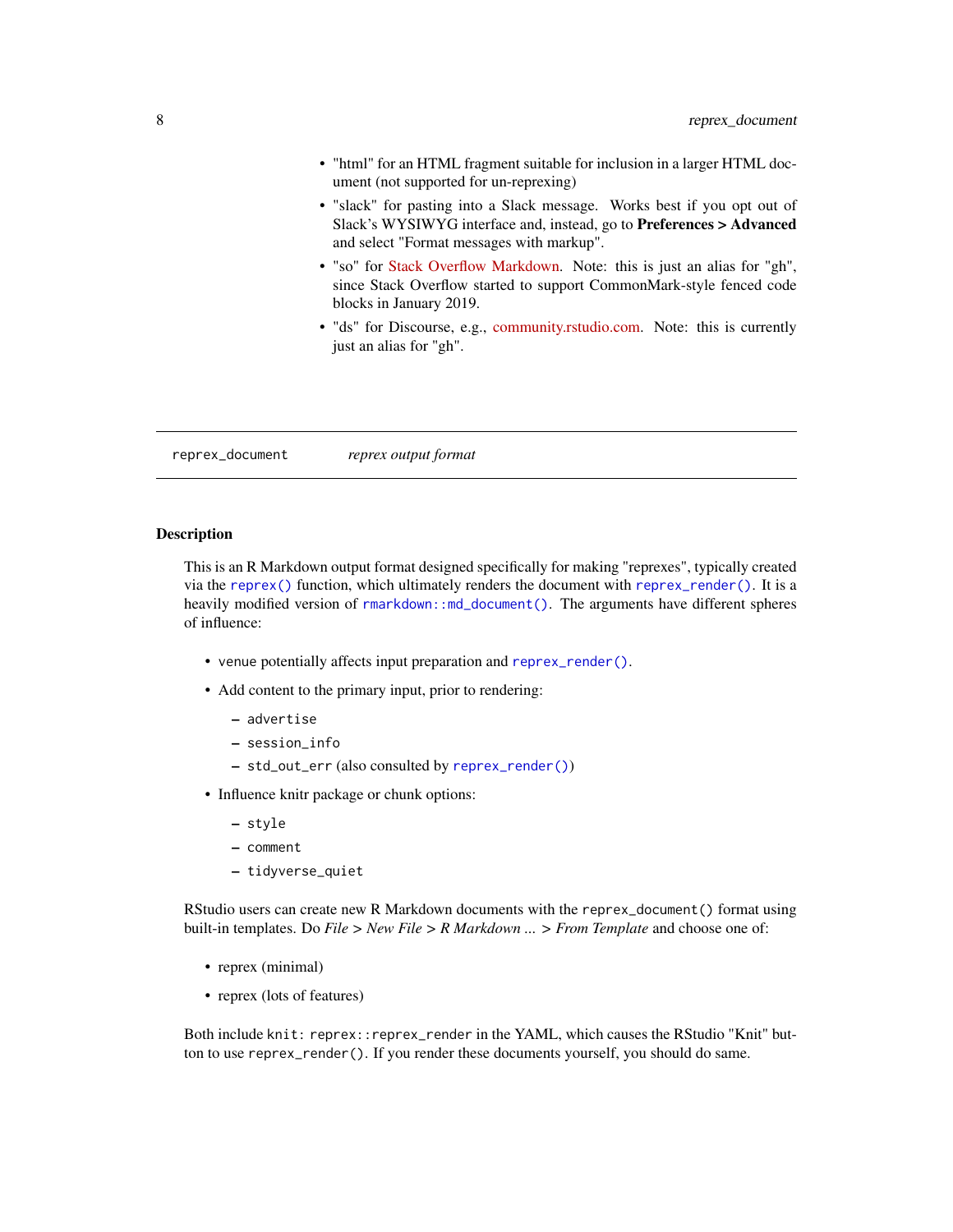- <span id="page-7-0"></span>• "html" for an HTML fragment suitable for inclusion in a larger HTML document (not supported for un-reprexing)
- "slack" for pasting into a Slack message. Works best if you opt out of Slack's WYSIWYG interface and, instead, go to Preferences > Advanced and select "Format messages with markup".
- "so" for [Stack Overflow Markdown.](https://stackoverflow.com/editing-help#syntax-highlighting) Note: this is just an alias for "gh", since Stack Overflow started to support CommonMark-style fenced code blocks in January 2019.
- "ds" for Discourse, e.g., [community.rstudio.com.](https://community.rstudio.com) Note: this is currently just an alias for "gh".

<span id="page-7-1"></span>reprex\_document *reprex output format*

#### **Description**

This is an R Markdown output format designed specifically for making "reprexes", typically created via the [reprex\(\)](#page-1-1) function, which ultimately renders the document with [reprex\\_render\(\)](#page-12-1). It is a heavily modified version of [rmarkdown::md\\_document\(\)](#page-0-0). The arguments have different spheres of influence:

- venue potentially affects input preparation and [reprex\\_render\(\)](#page-12-1).
- Add content to the primary input, prior to rendering:
	- advertise
	- session\_info
	- std\_out\_err (also consulted by [reprex\\_render\(\)](#page-12-1))
- Influence knitr package or chunk options:
	- style
	- comment
	- tidyverse\_quiet

RStudio users can create new R Markdown documents with the reprex\_document() format using built-in templates. Do *File > New File > R Markdown ... > From Template* and choose one of:

- reprex (minimal)
- reprex (lots of features)

Both include knit: reprex::reprex\_render in the YAML, which causes the RStudio "Knit" button to use reprex\_render(). If you render these documents yourself, you should do same.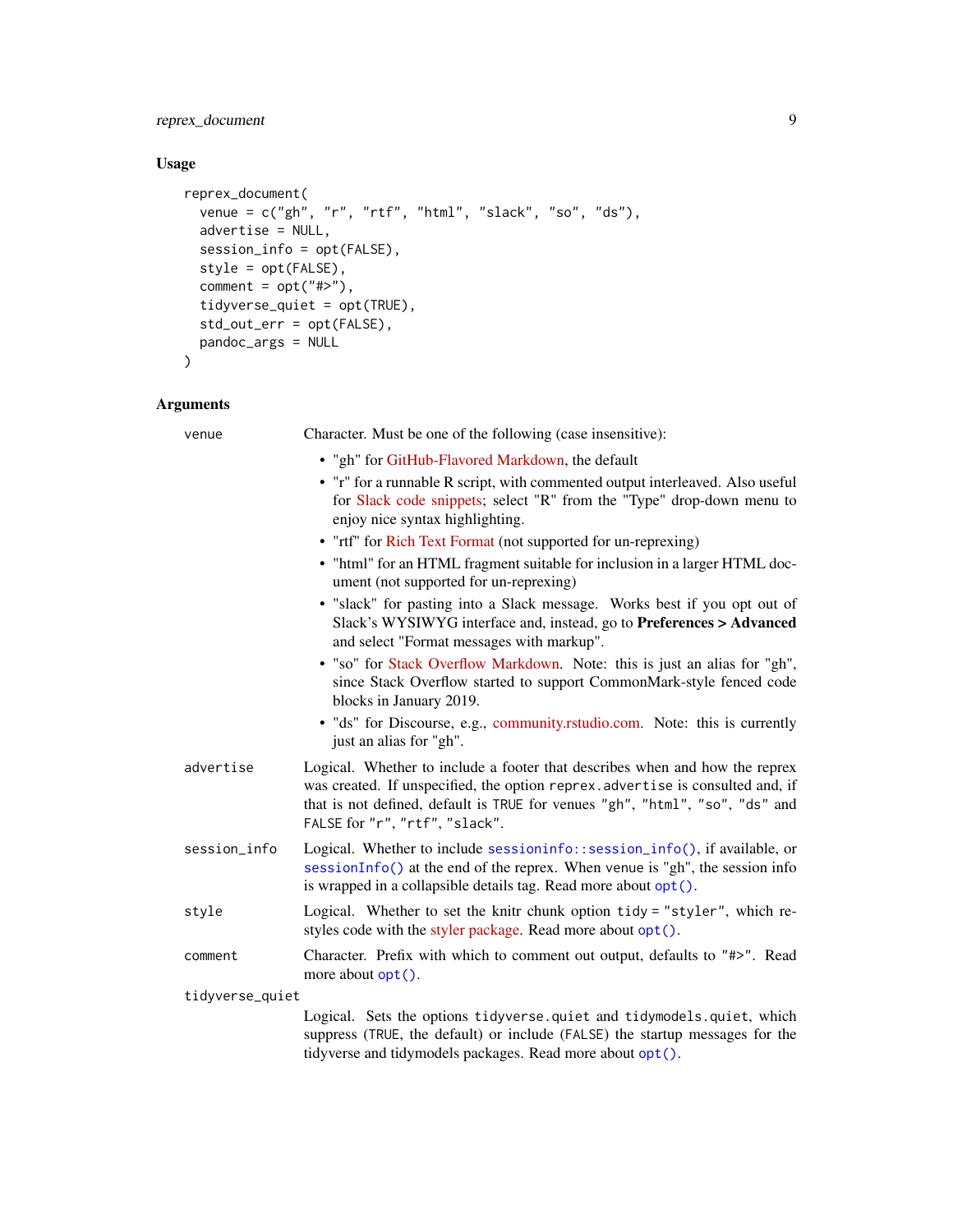<span id="page-8-0"></span>reprex\_document 9

#### Usage

```
reprex_document(
 venue = c("gh", "r", "rtf", "html", "slack", "so", "ds"),
 advertise = NULL,
 session_info = opt(FALSE),
 style = opt(FALSE),
 comment = opt("#>"),
 tidyverse_quiet = opt(TRUE),
 std_out_err = opt(FALSE),
 pandoc_args = NULL
\mathcal{L}
```
#### Arguments

| venue           | Character. Must be one of the following (case insensitive):                                                                                                                                                                                                                                                    |
|-----------------|----------------------------------------------------------------------------------------------------------------------------------------------------------------------------------------------------------------------------------------------------------------------------------------------------------------|
|                 | • "gh" for GitHub-Flavored Markdown, the default<br>• "r" for a runnable R script, with commented output interleaved. Also useful<br>for Slack code snippets; select "R" from the "Type" drop-down menu to<br>enjoy nice syntax highlighting.<br>• "rtf" for Rich Text Format (not supported for un-reprexing) |
|                 | • "html" for an HTML fragment suitable for inclusion in a larger HTML doc-<br>ument (not supported for un-reprexing)                                                                                                                                                                                           |
|                 | • "slack" for pasting into a Slack message. Works best if you opt out of<br>Slack's WYSIWYG interface and, instead, go to Preferences > Advanced<br>and select "Format messages with markup".                                                                                                                  |
|                 | • "so" for Stack Overflow Markdown. Note: this is just an alias for "gh",<br>since Stack Overflow started to support CommonMark-style fenced code<br>blocks in January 2019.                                                                                                                                   |
|                 | · "ds" for Discourse, e.g., community.rstudio.com. Note: this is currently<br>just an alias for "gh".                                                                                                                                                                                                          |
| advertise       | Logical. Whether to include a footer that describes when and how the reprex<br>was created. If unspecified, the option reprex. advertise is consulted and, if<br>that is not defined, default is TRUE for venues "gh", "html", "so", "ds" and<br>FALSE for "r", "rtf", "slack".                                |
| session_info    | Logical. Whether to include sessioninfo::session_info(), if available, or<br>sessionInfo() at the end of the reprex. When venue is "gh", the session info<br>is wrapped in a collapsible details tag. Read more about opt().                                                                                   |
| style           | Logical. Whether to set the knitr chunk option tidy = "styler", which re-<br>styles code with the styler package. Read more about opt().                                                                                                                                                                       |
| comment         | Character. Prefix with which to comment out output, defaults to "#>". Read<br>more about opt().                                                                                                                                                                                                                |
| tidyverse_quiet |                                                                                                                                                                                                                                                                                                                |
|                 | Logical. Sets the options tidyverse.quiet and tidymodels.quiet, which<br>suppress (TRUE, the default) or include (FALSE) the startup messages for the<br>tidyverse and tidymodels packages. Read more about opt().                                                                                             |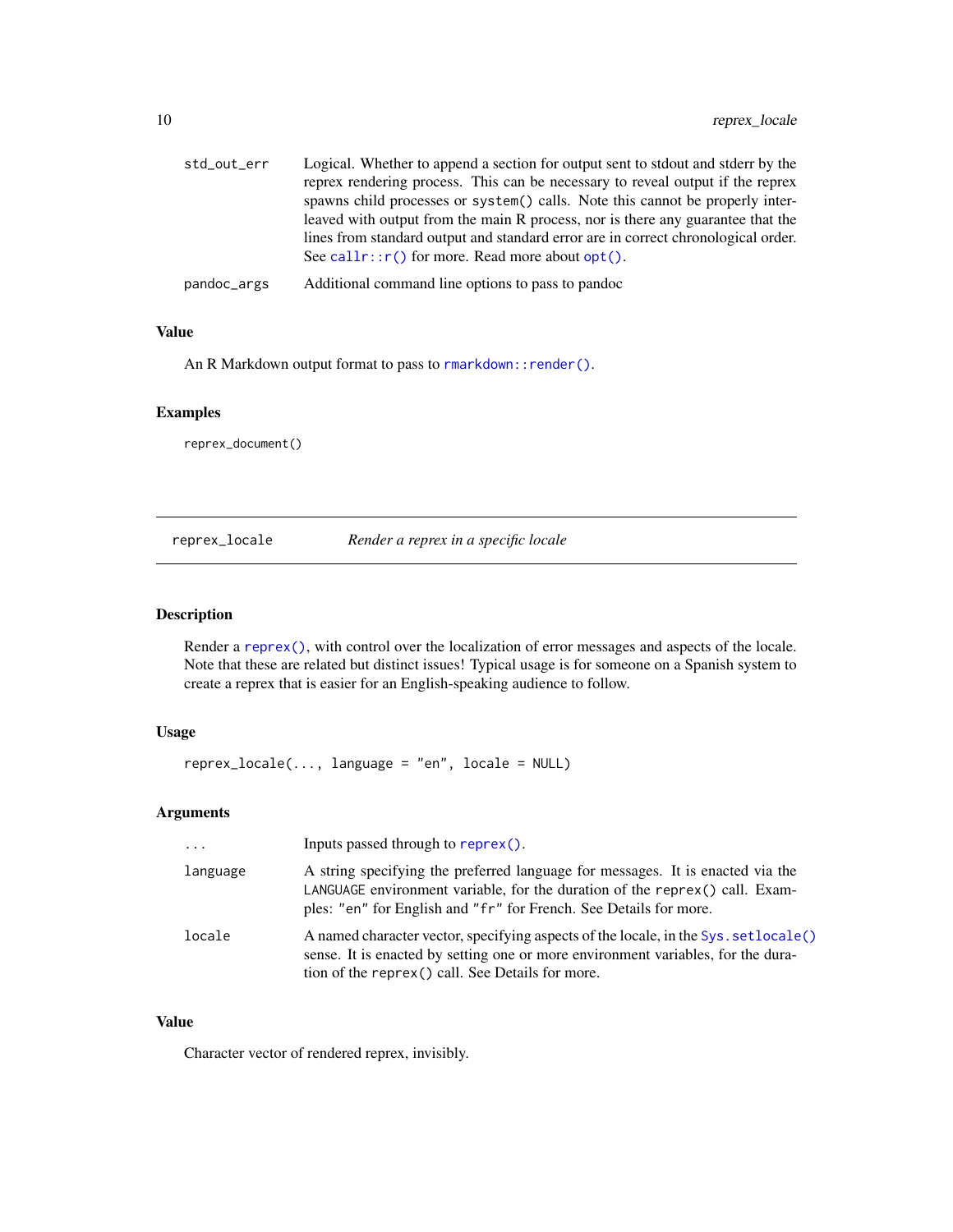<span id="page-9-0"></span>

| std_out_err | Logical. Whether to append a section for output sent to stdout and stderr by the<br>reprex rendering process. This can be necessary to reveal output if the reprex<br>spawns child processes or system() calls. Note this cannot be properly inter-<br>leaved with output from the main R process, nor is there any guarantee that the<br>lines from standard output and standard error are in correct chronological order. |
|-------------|-----------------------------------------------------------------------------------------------------------------------------------------------------------------------------------------------------------------------------------------------------------------------------------------------------------------------------------------------------------------------------------------------------------------------------|
|             | See call $r$ :: $r()$ for more. Read more about opt $()$ .                                                                                                                                                                                                                                                                                                                                                                  |
| pandoc_args | Additional command line options to pass to pandoc                                                                                                                                                                                                                                                                                                                                                                           |

#### Value

An R Markdown output format to pass to rmarkdown:: render().

#### Examples

reprex\_document()

reprex\_locale *Render a reprex in a specific locale*

#### Description

Render a [reprex\(\)](#page-1-1), with control over the localization of error messages and aspects of the locale. Note that these are related but distinct issues! Typical usage is for someone on a Spanish system to create a reprex that is easier for an English-speaking audience to follow.

#### Usage

```
reprex_locale(..., language = "en", locale = NULL)
```
#### Arguments

| $\cdot \cdot \cdot$ | Inputs passed through to reprex().                                                                                                                                                                                                 |
|---------------------|------------------------------------------------------------------------------------------------------------------------------------------------------------------------------------------------------------------------------------|
| language            | A string specifying the preferred language for messages. It is enacted via the<br>LANGUAGE environment variable, for the duration of the reprex() call. Exam-<br>ples: "en" for English and "fr" for French. See Details for more. |
| locale              | A named character vector, specifying aspects of the locale, in the Sys. set locale()<br>sense. It is enacted by setting one or more environment variables, for the dura-<br>tion of the reprex () call. See Details for more.      |

#### Value

Character vector of rendered reprex, invisibly.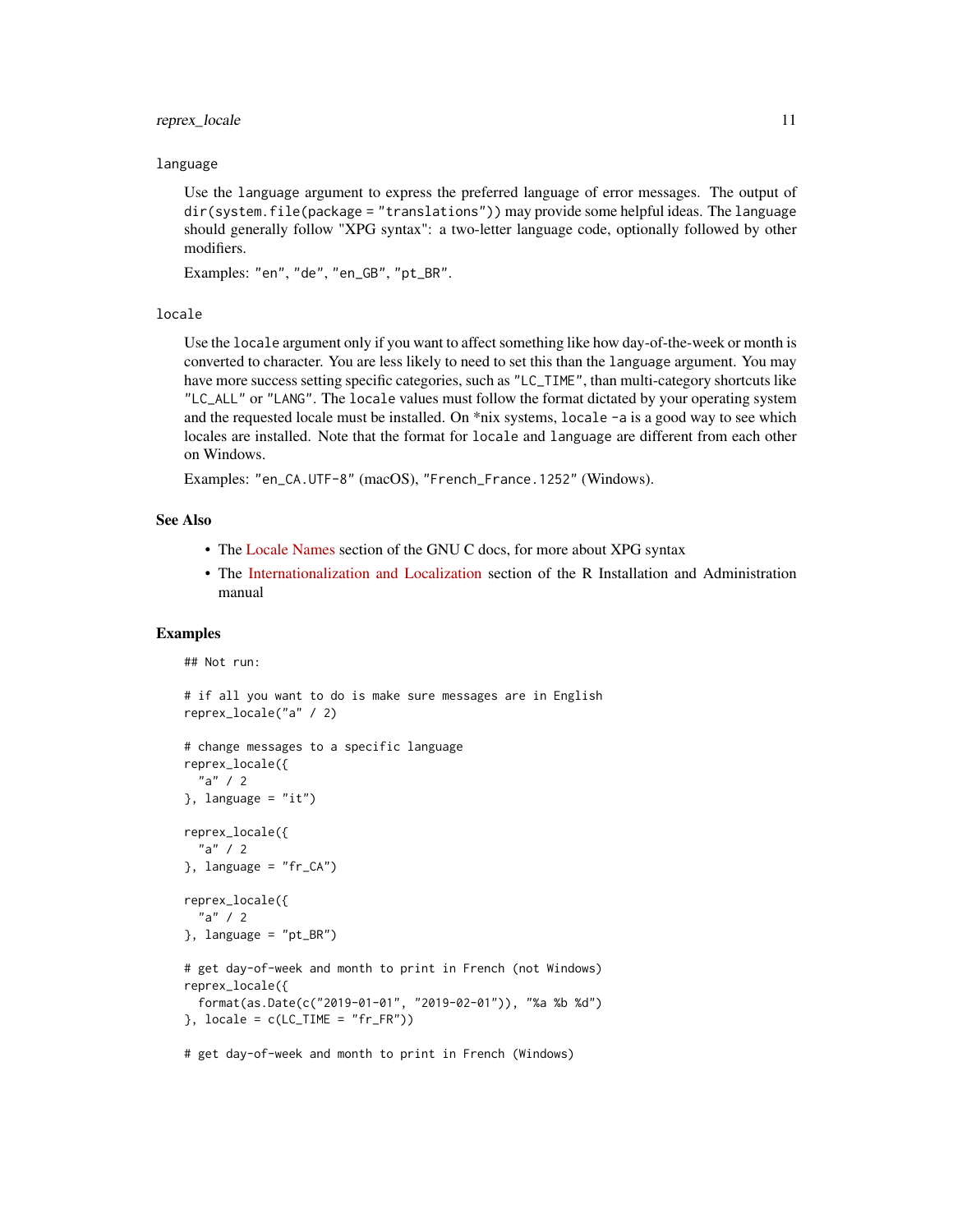#### reprex\_locale 11

#### language

Use the language argument to express the preferred language of error messages. The output of dir(system.file(package = "translations")) may provide some helpful ideas. The language should generally follow "XPG syntax": a two-letter language code, optionally followed by other modifiers.

Examples: "en", "de", "en\_GB", "pt\_BR".

#### locale

Use the locale argument only if you want to affect something like how day-of-the-week or month is converted to character. You are less likely to need to set this than the language argument. You may have more success setting specific categories, such as "LC\_TIME", than multi-category shortcuts like "LC\_ALL" or "LANG". The locale values must follow the format dictated by your operating system and the requested locale must be installed. On \*nix systems, locale -a is a good way to see which locales are installed. Note that the format for locale and language are different from each other on Windows.

Examples: "en\_CA.UTF-8" (macOS), "French\_France.1252" (Windows).

#### See Also

- The [Locale Names](https://www.gnu.org/software/libc/manual/html_node/Locale-Names.html) section of the GNU C docs, for more about XPG syntax
- The [Internationalization and Localization](https://cran.r-project.org/doc/manuals/r-patched/R-admin.html#Internationalization) section of the R Installation and Administration manual

#### Examples

```
## Not run:
# if all you want to do is make sure messages are in English
reprex_locale("a" / 2)
# change messages to a specific language
reprex_locale({
  "a" / 2
\}, language = "it")
reprex_locale({
  "a" / 2
}, language = "fr_CA")
reprex_locale({
  "a" / 2
\}, language = "pt_BR")
# get day-of-week and month to print in French (not Windows)
reprex_locale({
 format(as.Date(c("2019-01-01", "2019-02-01")), "%a %b %d")
}, locale = c(LC_TIME = "fr_FR"))
# get day-of-week and month to print in French (Windows)
```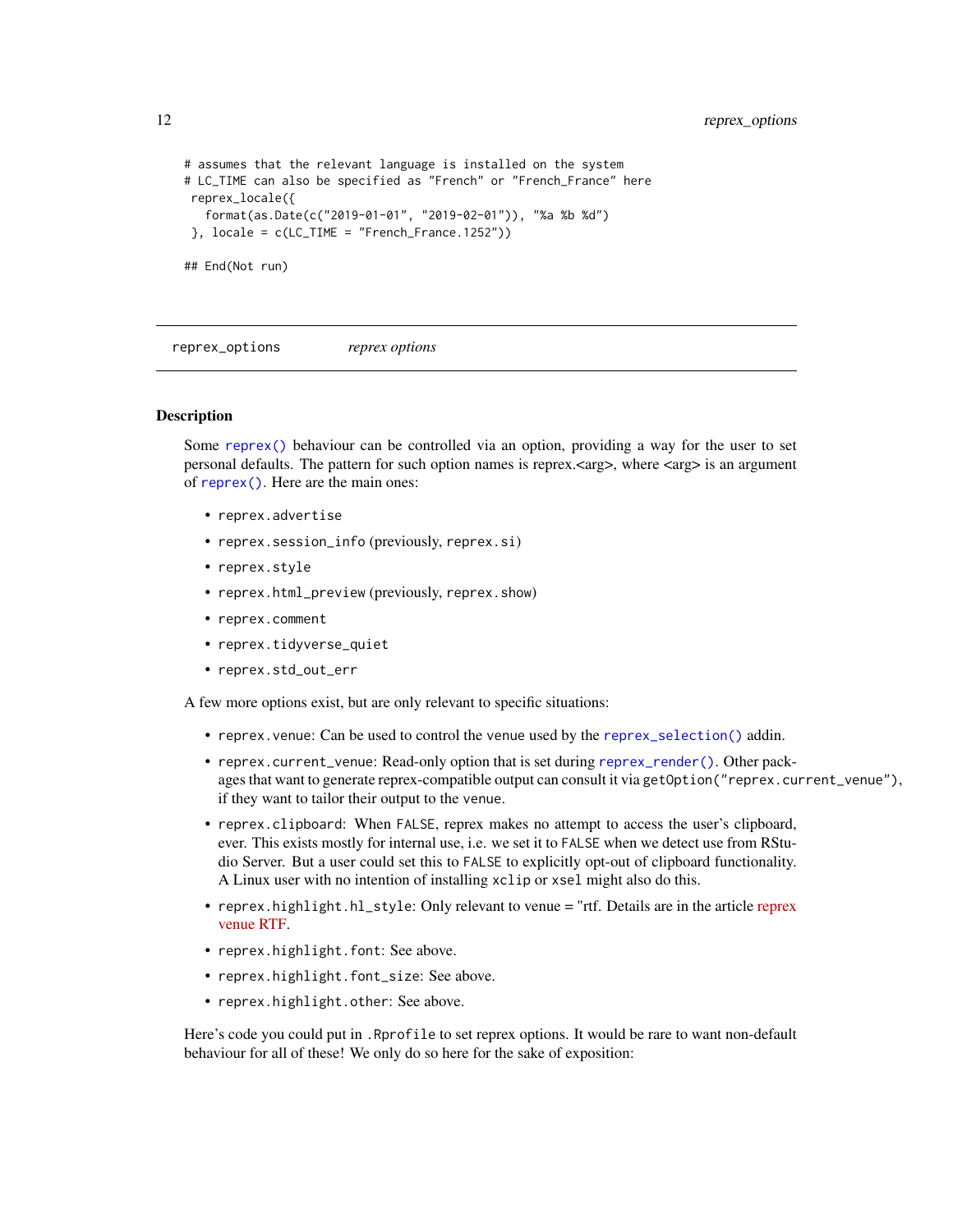<span id="page-11-0"></span>12 reprex\_options

```
# assumes that the relevant language is installed on the system
# LC_TIME can also be specified as "French" or "French_France" here
reprex_locale({
  format(as.Date(c("2019-01-01", "2019-02-01")), "%a %b %d")
}, locale = c(LC_TIME = "French_France.1252"))
## End(Not run)
```
reprex\_options *reprex options*

#### <span id="page-11-1"></span>Description

Some [reprex\(\)](#page-1-1) behaviour can be controlled via an option, providing a way for the user to set personal defaults. The pattern for such option names is reprex.<arg>, where <arg> is an argument of [reprex\(\)](#page-1-1). Here are the main ones:

- reprex.advertise
- reprex.session\_info (previously, reprex.si)
- reprex.style
- reprex.html\_preview (previously, reprex.show)
- reprex.comment
- reprex.tidyverse\_quiet
- reprex.std\_out\_err

A few more options exist, but are only relevant to specific situations:

- reprex.venue: Can be used to control the venue used by the [reprex\\_selection\(\)](#page-6-1) addin.
- reprex.current\_venue: Read-only option that is set during [reprex\\_render\(\)](#page-12-1). Other packages that want to generate reprex-compatible output can consult it via getOption("reprex.current\_venue"), if they want to tailor their output to the venue.
- reprex.clipboard: When FALSE, reprex makes no attempt to access the user's clipboard, ever. This exists mostly for internal use, i.e. we set it to FALSE when we detect use from RStudio Server. But a user could set this to FALSE to explicitly opt-out of clipboard functionality. A Linux user with no intention of installing xclip or xsel might also do this.
- [reprex](https://reprex.tidyverse.org/articles/articles/rtf.html).highlight.hl\_style: Only relevant to venue = "rtf. Details are in the article reprex [venue RTF.](https://reprex.tidyverse.org/articles/articles/rtf.html)
- reprex.highlight.font: See above.
- reprex.highlight.font\_size: See above.
- reprex.highlight.other: See above.

Here's code you could put in . Rprofile to set reprex options. It would be rare to want non-default behaviour for all of these! We only do so here for the sake of exposition: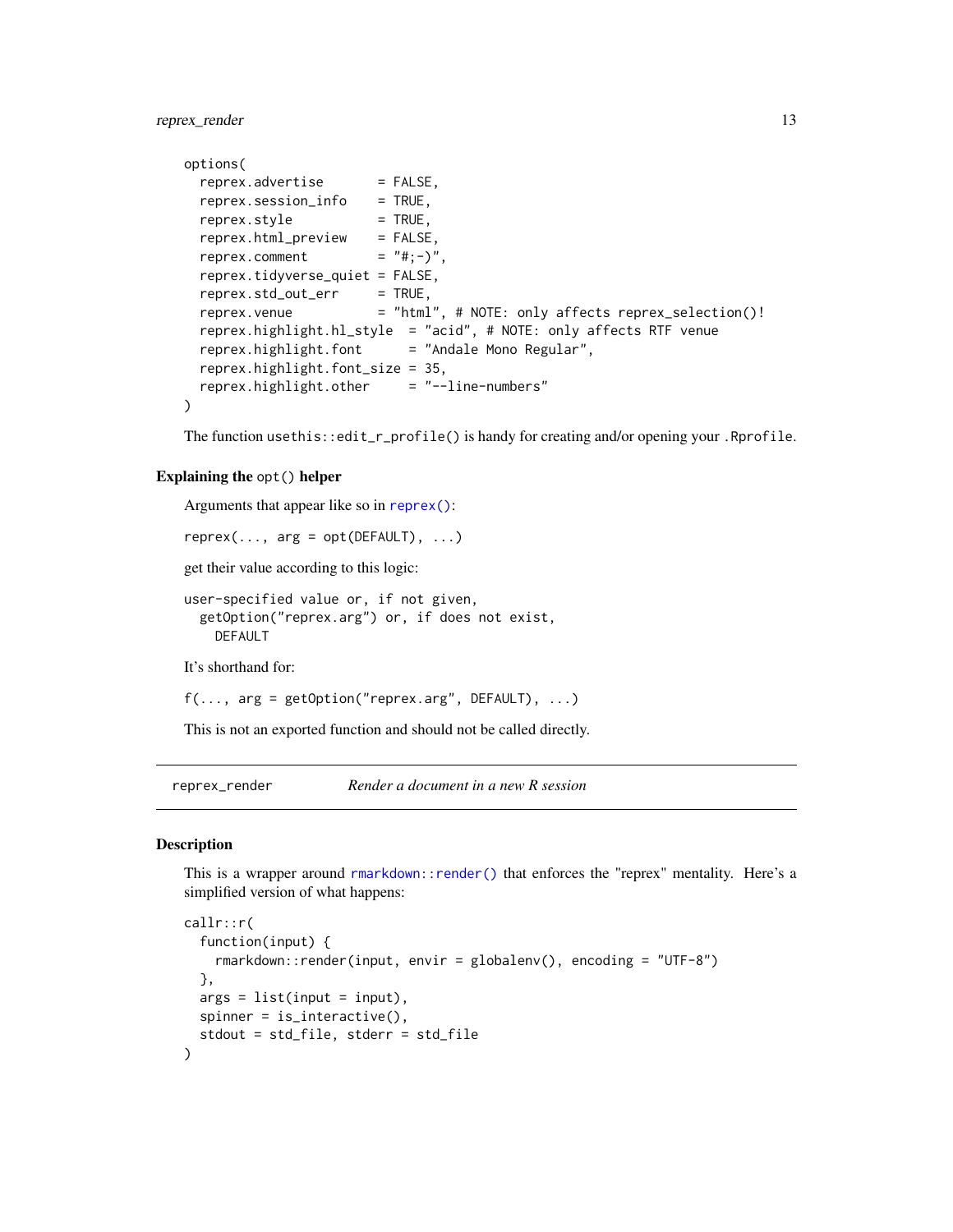<span id="page-12-0"></span>reprex\_render 13

```
options(
 reprex.advertise = FALSE,
 reprex.session_info = TRUE,reprev.style = TRUE,reprex.html_preview = FALSE,
 reprex.comment = "#; -)",
 reprex.tidyverse_quiet = FALSE,
 reprev.stdout_error = TRUE,reprex.venue = "html", # NOTE: only affects reprex_selection()!
 reprex.highlight.hl_style = "acid", # NOTE: only affects RTF venue
 reprex.highlight.font = "Andale Mono Regular",
 reprex.highlight.font_size = 35,
 reprex.highlight.other = "--line-numbers"
)
```
The function usethis::edit\_r\_profile() is handy for creating and/or opening your .Rprofile.

#### Explaining the opt() helper

Arguments that appear like so in [reprex\(\)](#page-1-1):

```
reprev(..., arg = opt(DEFAULT), ...)
```
get their value according to this logic:

```
user-specified value or, if not given,
  getOption("reprex.arg") or, if does not exist,
    DEFAULT
```
It's shorthand for:

```
f(\ldots, \text{arg} = \text{getOption("reprex.argv", DEFAULT}), \ldots)
```
This is not an exported function and should not be called directly.

<span id="page-12-1"></span>reprex\_render *Render a document in a new R session*

#### Description

This is a wrapper around [rmarkdown::render\(\)](#page-0-0) that enforces the "reprex" mentality. Here's a simplified version of what happens:

```
callr::r(
  function(input) {
   rmarkdown::render(input, envir = globalenv(), encoding = "UTF-8")
  },
 args = list(input = input),spinner = is_interactive(),
  stdout = std_file, stderr = std_file
)
```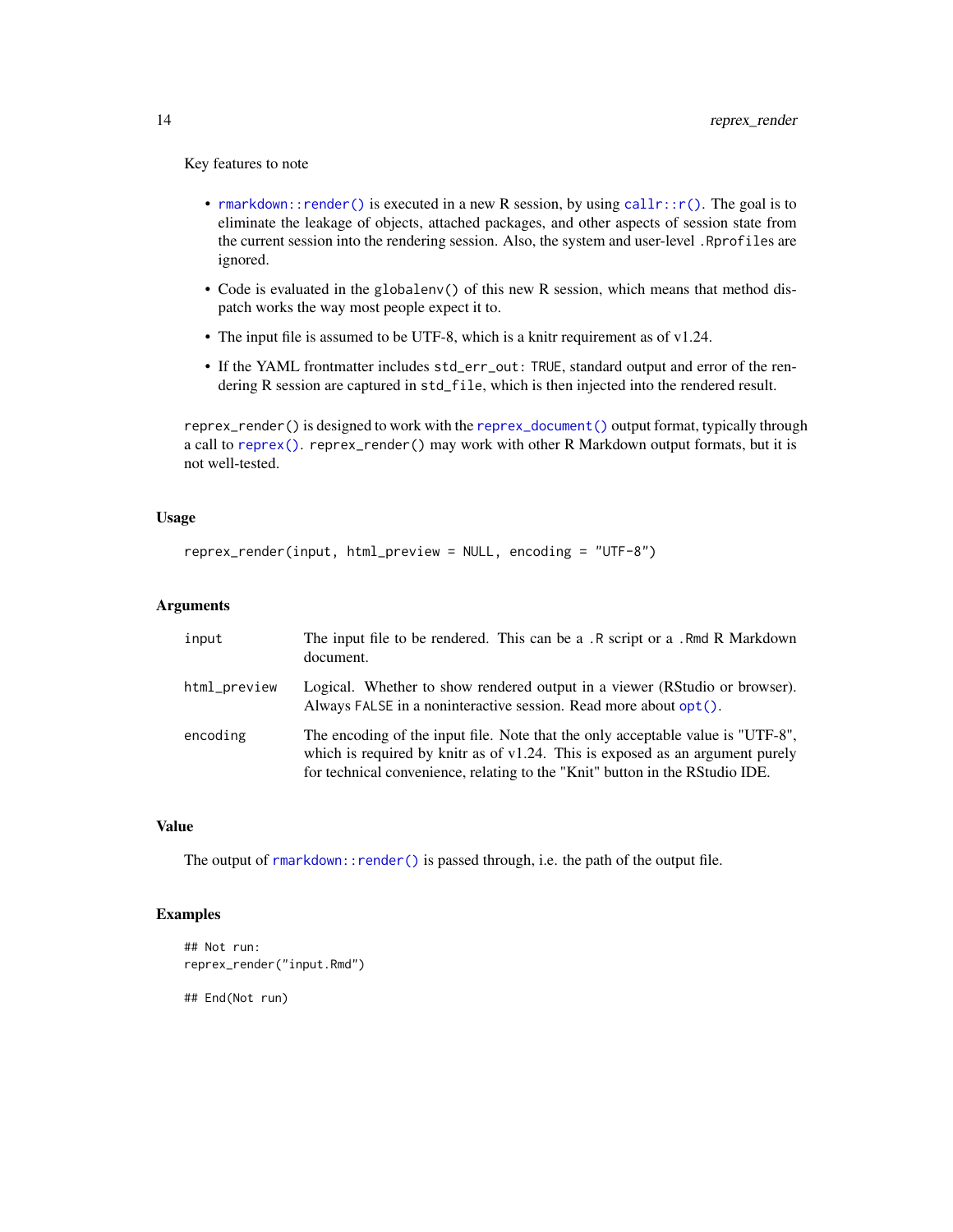<span id="page-13-0"></span>Key features to note

- [rmarkdown::render\(\)](#page-0-0) is executed in a new R session, by using  $\text{callr}:r()$ . The goal is to eliminate the leakage of objects, attached packages, and other aspects of session state from the current session into the rendering session. Also, the system and user-level .Rprofiles are ignored.
- Code is evaluated in the globalenv() of this new R session, which means that method dispatch works the way most people expect it to.
- The input file is assumed to be UTF-8, which is a knitr requirement as of v1.24.
- If the YAML frontmatter includes std\_err\_out: TRUE, standard output and error of the rendering R session are captured in std\_file, which is then injected into the rendered result.

reprex\_render() is designed to work with the [reprex\\_document\(\)](#page-7-1) output format, typically through a call to [reprex\(\)](#page-1-1). reprex\_render() may work with other R Markdown output formats, but it is not well-tested.

#### Usage

```
reprex_render(input, html_preview = NULL, encoding = "UTF-8")
```
#### Arguments

| input        | The input file to be rendered. This can be a .R script or a .Rmd R Markdown<br>document.                                                                                                                                                            |
|--------------|-----------------------------------------------------------------------------------------------------------------------------------------------------------------------------------------------------------------------------------------------------|
| html_preview | Logical. Whether to show rendered output in a viewer (RStudio or browser).<br>Always FALSE in a noninteractive session. Read more about opt().                                                                                                      |
| encoding     | The encoding of the input file. Note that the only acceptable value is "UTF-8".<br>which is required by knitr as of $v1.24$ . This is exposed as an argument purely<br>for technical convenience, relating to the "Knit" button in the RStudio IDE. |

#### Value

The output of [rmarkdown::render\(\)](#page-0-0) is passed through, i.e. the path of the output file.

#### Examples

```
## Not run:
reprex_render("input.Rmd")
```
## End(Not run)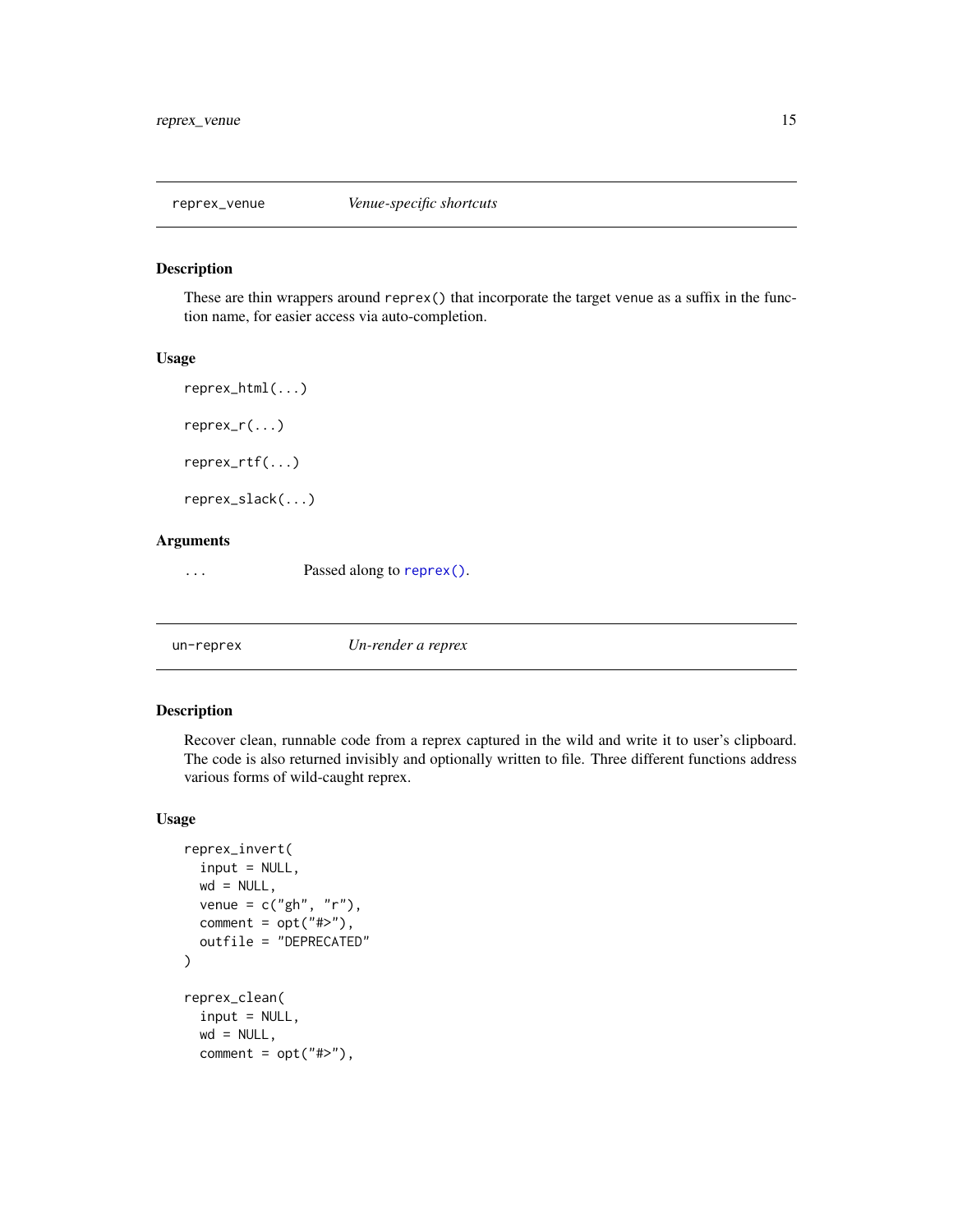<span id="page-14-0"></span>

#### Description

These are thin wrappers around reprex() that incorporate the target venue as a suffix in the function name, for easier access via auto-completion.

#### Usage

```
reprex_html(...)
reprex_r(...)
reprex_rtf(...)
```
reprex\_slack(...)

#### Arguments

... Passed along to [reprex\(\)](#page-1-1).

un-reprex *Un-render a reprex*

#### Description

Recover clean, runnable code from a reprex captured in the wild and write it to user's clipboard. The code is also returned invisibly and optionally written to file. Three different functions address various forms of wild-caught reprex.

#### Usage

```
reprex_invert(
  input = NULL,
 wd = NULL,venue = c("gh", "r"),
 comment = opt("#>"),
  outfile = "DEPRECATED"
\mathcal{L}reprex_clean(
  input = NULL,wd = NULL,comment = opt("#>}"),
```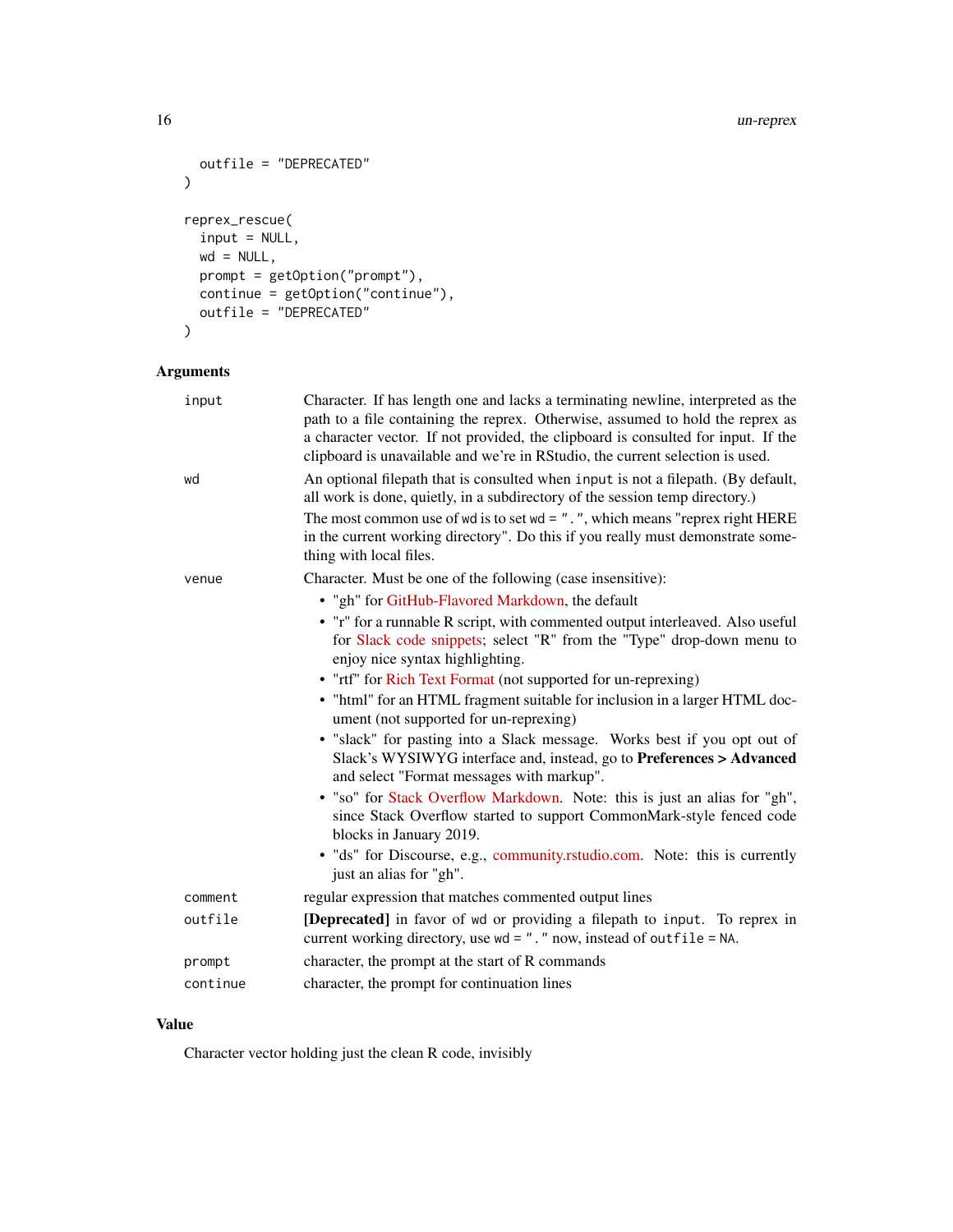#### 16 un-reprex

```
outfile = "DEPRECATED"
\mathcal{L}reprex_rescue(
  input = NULL,wd = NULL,prompt = getOption("prompt"),
  continue = getOption("continue"),
  outfile = "DEPRECATED"
\mathcal{L}
```
#### Arguments

| input    | Character. If has length one and lacks a terminating newline, interpreted as the<br>path to a file containing the reprex. Otherwise, assumed to hold the reprex as<br>a character vector. If not provided, the clipboard is consulted for input. If the<br>clipboard is unavailable and we're in RStudio, the current selection is used. |
|----------|------------------------------------------------------------------------------------------------------------------------------------------------------------------------------------------------------------------------------------------------------------------------------------------------------------------------------------------|
| wd       | An optional filepath that is consulted when input is not a filepath. (By default,<br>all work is done, quietly, in a subdirectory of the session temp directory.)                                                                                                                                                                        |
|          | The most common use of wd is to set wd = $"$ . ", which means "reprex right HERE<br>in the current working directory". Do this if you really must demonstrate some-<br>thing with local files.                                                                                                                                           |
| venue    | Character. Must be one of the following (case insensitive):                                                                                                                                                                                                                                                                              |
|          | • "gh" for GitHub-Flavored Markdown, the default                                                                                                                                                                                                                                                                                         |
|          | • "r" for a runnable R script, with commented output interleaved. Also useful<br>for Slack code snippets; select "R" from the "Type" drop-down menu to<br>enjoy nice syntax highlighting.                                                                                                                                                |
|          | • "rtf" for Rich Text Format (not supported for un-reprexing)                                                                                                                                                                                                                                                                            |
|          | • "html" for an HTML fragment suitable for inclusion in a larger HTML doc-<br>ument (not supported for un-reprexing)                                                                                                                                                                                                                     |
|          | • "slack" for pasting into a Slack message. Works best if you opt out of<br>Slack's WYSIWYG interface and, instead, go to Preferences > Advanced<br>and select "Format messages with markup".                                                                                                                                            |
|          | • "so" for Stack Overflow Markdown. Note: this is just an alias for "gh",<br>since Stack Overflow started to support CommonMark-style fenced code<br>blocks in January 2019.                                                                                                                                                             |
|          | · "ds" for Discourse, e.g., community.rstudio.com. Note: this is currently<br>just an alias for "gh".                                                                                                                                                                                                                                    |
| comment  | regular expression that matches commented output lines                                                                                                                                                                                                                                                                                   |
| outfile  | [Deprecated] in favor of wd or providing a filepath to input. To reprex in<br>current working directory, use $wd = "$ ." now, instead of outfile = NA.                                                                                                                                                                                   |
| prompt   | character, the prompt at the start of R commands                                                                                                                                                                                                                                                                                         |
| continue | character, the prompt for continuation lines                                                                                                                                                                                                                                                                                             |

#### Value

Character vector holding just the clean R code, invisibly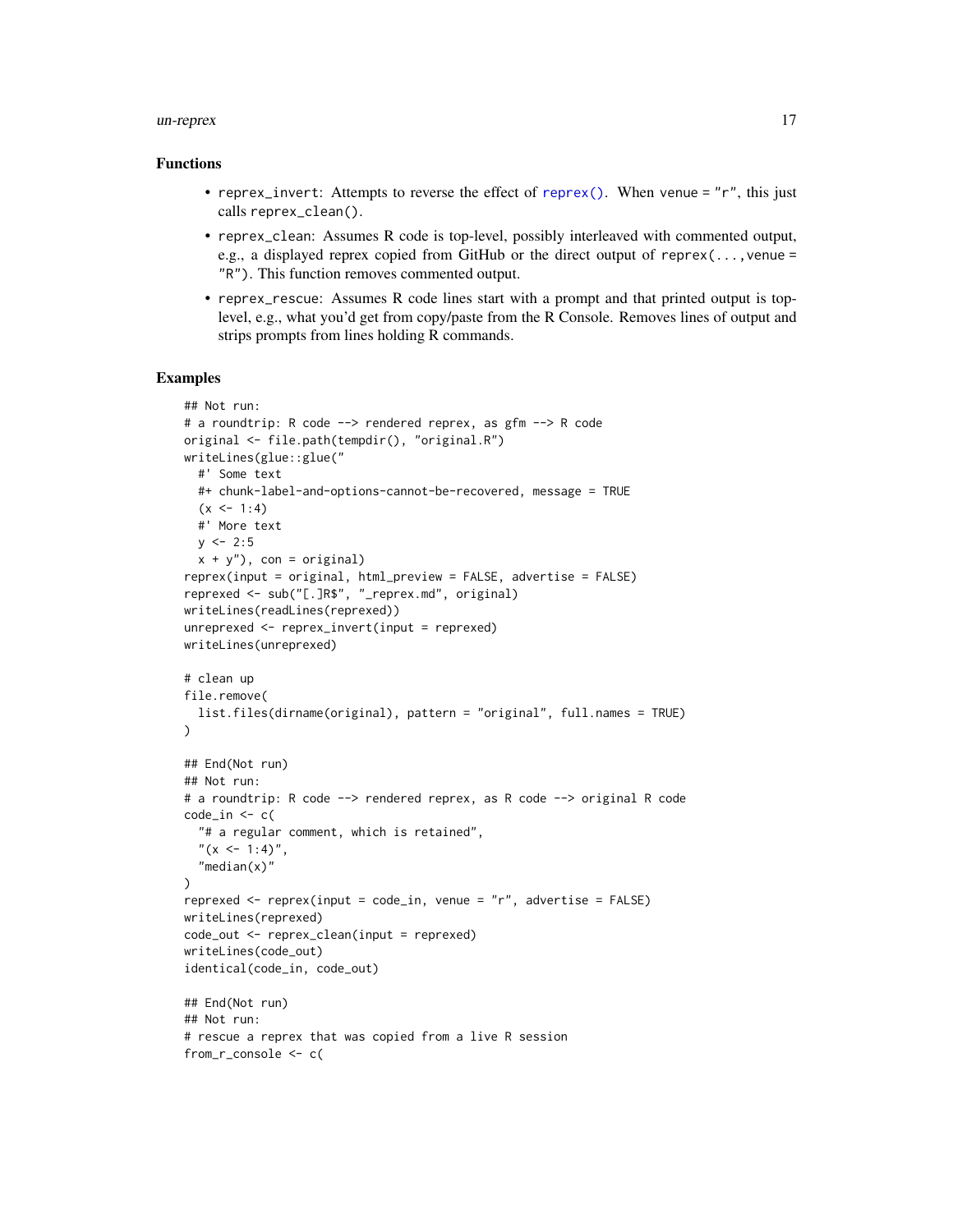#### <span id="page-16-0"></span>un-reprex 17

#### Functions

- reprex\_invert: Attempts to reverse the effect of [reprex\(\)](#page-1-1). When venue =  $'r$ , this just calls reprex\_clean().
- reprex\_clean: Assumes R code is top-level, possibly interleaved with commented output, e.g., a displayed reprex copied from GitHub or the direct output of reprex(...,venue = "R"). This function removes commented output.
- reprex\_rescue: Assumes R code lines start with a prompt and that printed output is toplevel, e.g., what you'd get from copy/paste from the R Console. Removes lines of output and strips prompts from lines holding R commands.

#### Examples

```
## Not run:
# a roundtrip: R code --> rendered reprex, as gfm --> R code
original <- file.path(tempdir(), "original.R")
writeLines(glue::glue("
  #' Some text
  #+ chunk-label-and-options-cannot-be-recovered, message = TRUE
  (x < -1:4)#' More text
  y \le -2:5x + y''), con = original)
reprex(input = original, html_preview = FALSE, advertise = FALSE)
reprexed <- sub("[.]R$", "_reprex.md", original)
writeLines(readLines(reprexed))
unreprexed <- reprex_invert(input = reprexed)
writeLines(unreprexed)
# clean up
file.remove(
  list.files(dirname(original), pattern = "original", full.names = TRUE)
\lambda## End(Not run)
## Not run:
# a roundtrip: R code --> rendered reprex, as R code --> original R code
code_in \leftarrow c("# a regular comment, which is retained",
  "(x <- 1:4)",
  "median(x)")
reprexed <- reprex(input = code_in, venue = "r", advertise = FALSE)
writeLines(reprexed)
code_out <- reprex_clean(input = reprexed)
writeLines(code_out)
identical(code_in, code_out)
## End(Not run)
## Not run:
# rescue a reprex that was copied from a live R session
from_r_console <- c(
```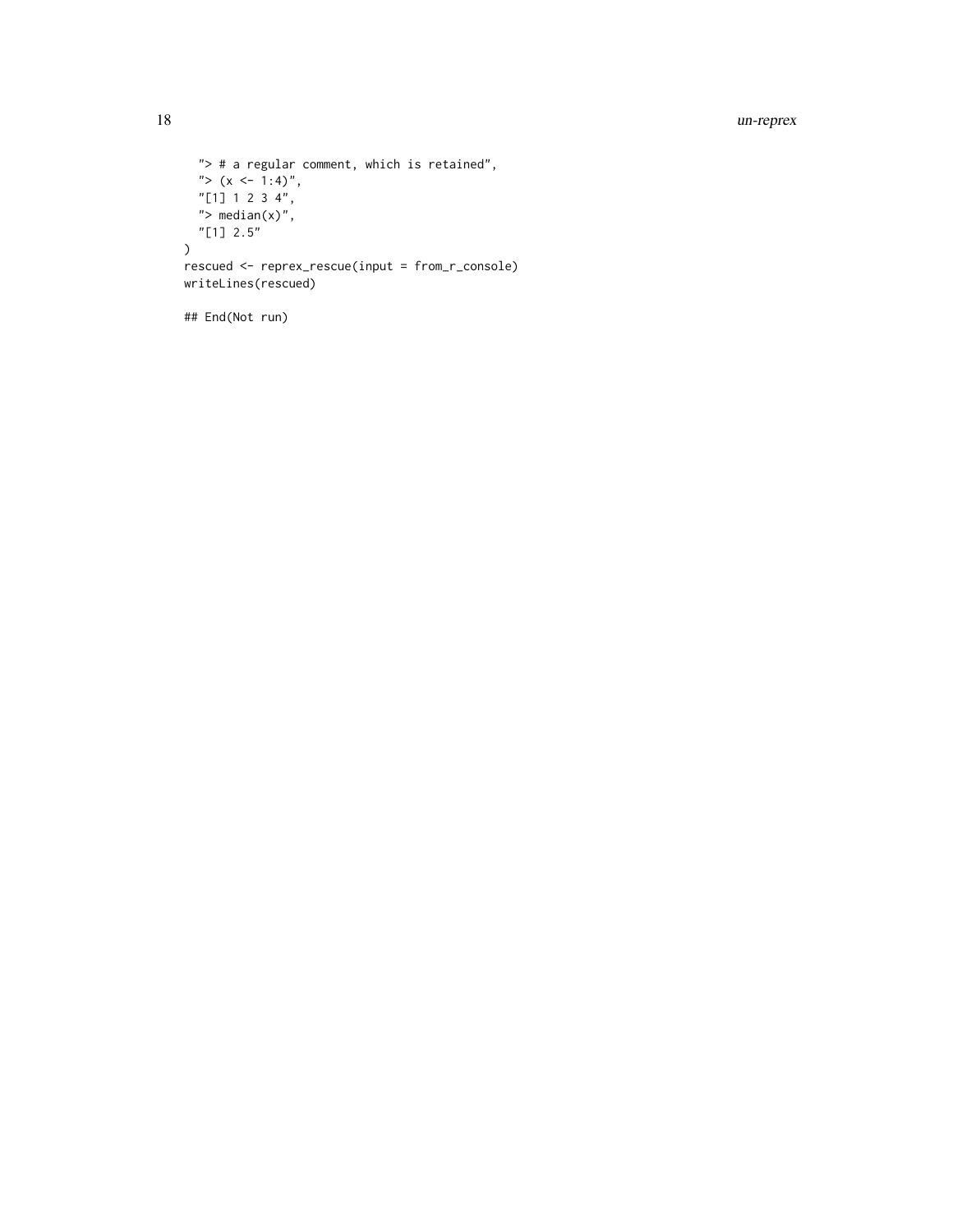#### 18 un-reprex

```
"> # a regular comment, which is retained",
  "> (x \le -1:4)",
  "[1] 1 2 3 4",
  "> median(x)",
  "[1] 2.5"
\overline{)}rescued <- reprex_rescue(input = from_r_console)
writeLines(rescued)
```

```
## End(Not run)
```